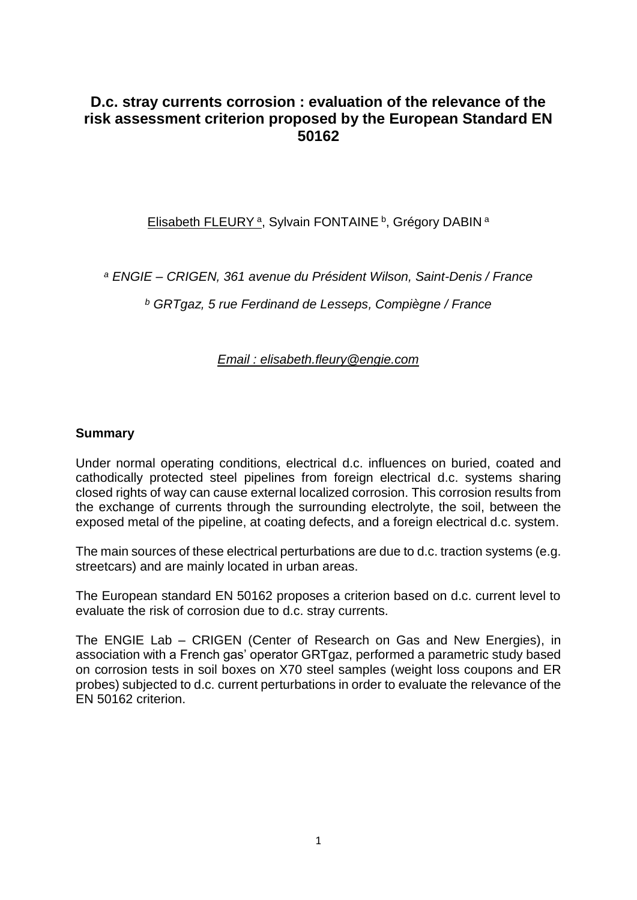## **D.c. stray currents corrosion : evaluation of the relevance of the risk assessment criterion proposed by the European Standard EN 50162**

Elisabeth FLEURY<sup>a</sup>, Sylvain FONTAINE<sup>b</sup>, Grégory DABIN<sup>a</sup>

*<sup>a</sup> ENGIE – CRIGEN, 361 avenue du Président Wilson, Saint-Denis / France* 

*<sup>b</sup> GRTgaz, 5 rue Ferdinand de Lesseps, Compiègne / France*

### *Email : elisabeth.fleury@engie.com*

#### **Summary**

Under normal operating conditions, electrical d.c. influences on buried, coated and cathodically protected steel pipelines from foreign electrical d.c. systems sharing closed rights of way can cause external localized corrosion. This corrosion results from the exchange of currents through the surrounding electrolyte, the soil, between the exposed metal of the pipeline, at coating defects, and a foreign electrical d.c. system.

The main sources of these electrical perturbations are due to d.c. traction systems (e.g. streetcars) and are mainly located in urban areas.

The European standard EN 50162 proposes a criterion based on d.c. current level to evaluate the risk of corrosion due to d.c. stray currents.

The ENGIE Lab – CRIGEN (Center of Research on Gas and New Energies), in association with a French gas' operator GRTgaz, performed a parametric study based on corrosion tests in soil boxes on X70 steel samples (weight loss coupons and ER probes) subjected to d.c. current perturbations in order to evaluate the relevance of the EN 50162 criterion.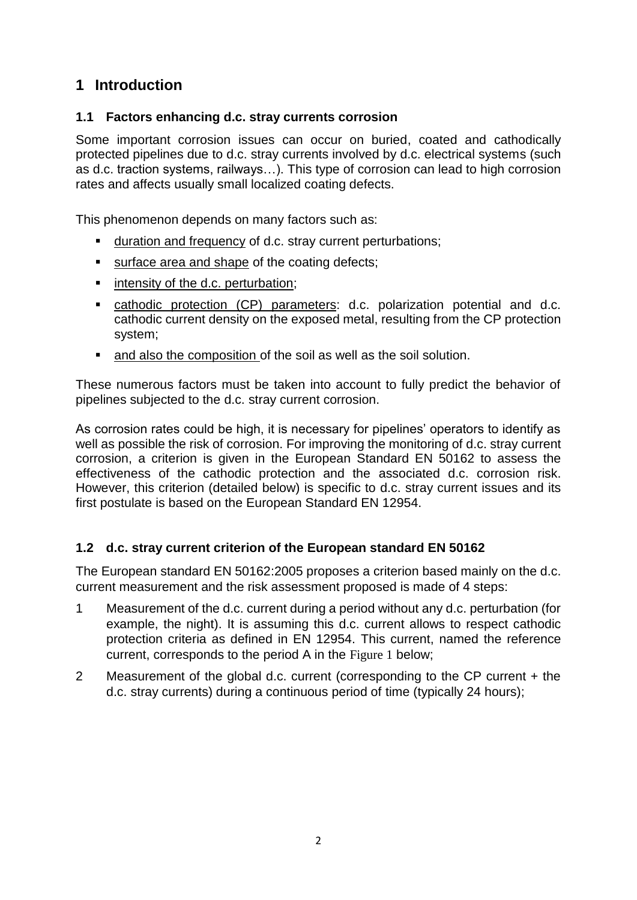# **1 Introduction**

## **1.1 Factors enhancing d.c. stray currents corrosion**

Some important corrosion issues can occur on buried, coated and cathodically protected pipelines due to d.c. stray currents involved by d.c. electrical systems (such as d.c. traction systems, railways…). This type of corrosion can lead to high corrosion rates and affects usually small localized coating defects.

This phenomenon depends on many factors such as:

- **duration and frequency of d.c. stray current perturbations:**
- surface area and shape of the coating defects;
- **EXECUTE:** intensity of the d.c. perturbation;
- cathodic protection (CP) parameters: d.c. polarization potential and d.c. cathodic current density on the exposed metal, resulting from the CP protection system;
- and also the composition of the soil as well as the soil solution.

These numerous factors must be taken into account to fully predict the behavior of pipelines subjected to the d.c. stray current corrosion.

As corrosion rates could be high, it is necessary for pipelines' operators to identify as well as possible the risk of corrosion. For improving the monitoring of d.c. stray current corrosion, a criterion is given in the European Standard EN 50162 to assess the effectiveness of the cathodic protection and the associated d.c. corrosion risk. However, this criterion (detailed below) is specific to d.c. stray current issues and its first postulate is based on the European Standard EN 12954.

### **1.2 d.c. stray current criterion of the European standard EN 50162**

The European standard EN 50162:2005 proposes a criterion based mainly on the d.c. current measurement and the risk assessment proposed is made of 4 steps:

- 1 Measurement of the d.c. current during a period without any d.c. perturbation (for example, the night). It is assuming this d.c. current allows to respect cathodic protection criteria as defined in EN 12954. This current, named the reference current, corresponds to the period A in the [Figure 1](#page-2-0) below;
- 2 Measurement of the global d.c. current (corresponding to the CP current + the d.c. stray currents) during a continuous period of time (typically 24 hours);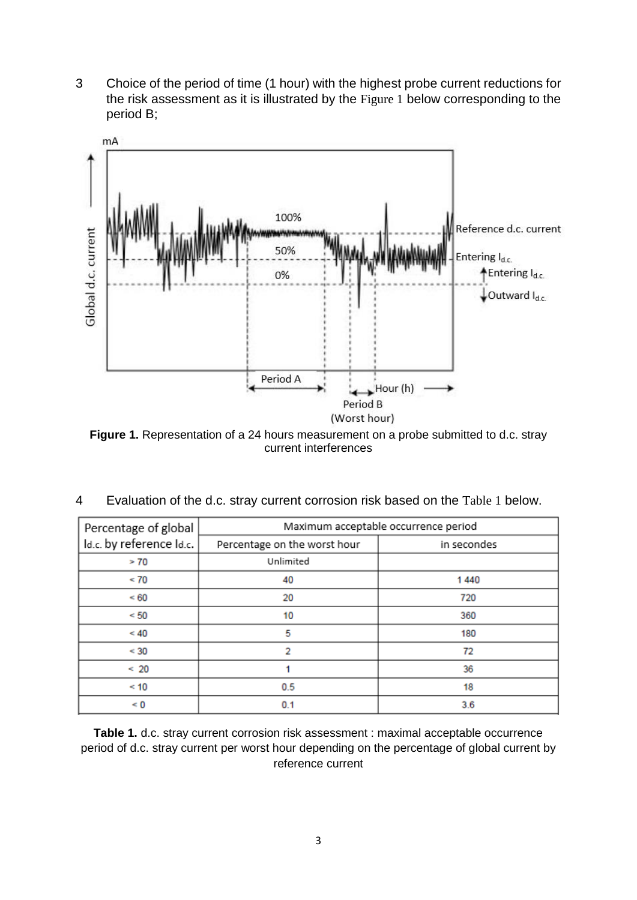3 Choice of the period of time (1 hour) with the highest probe current reductions for the risk assessment as it is illustrated by the [Figure 1](#page-2-0) below corresponding to the period B;



<span id="page-2-0"></span>**Figure 1.** Representation of a 24 hours measurement on a probe submitted to d.c. stray current interferences

| Percentage of global     | Maximum acceptable occurrence period |             |  |
|--------------------------|--------------------------------------|-------------|--|
| Id.c. by reference Id.c. | Percentage on the worst hour         | in secondes |  |
| > 70                     | Unlimited                            |             |  |
| < 70                     | 40                                   | 1440        |  |
| < 60                     | 20                                   | 720         |  |
| < 50                     | 10                                   | 360         |  |
| < 40                     | 5                                    | 180         |  |
| < 30                     | 2                                    | 72          |  |
| < 20                     |                                      | 36          |  |
| < 10                     | 0.5                                  | 18          |  |
| $\leq 0$                 | 0.1                                  | 3.6         |  |

4 Evaluation of the d.c. stray current corrosion risk based on the [Table 1](#page-2-1) below.

<span id="page-2-1"></span>**Table 1.** d.c. stray current corrosion risk assessment : maximal acceptable occurrence period of d.c. stray current per worst hour depending on the percentage of global current by reference current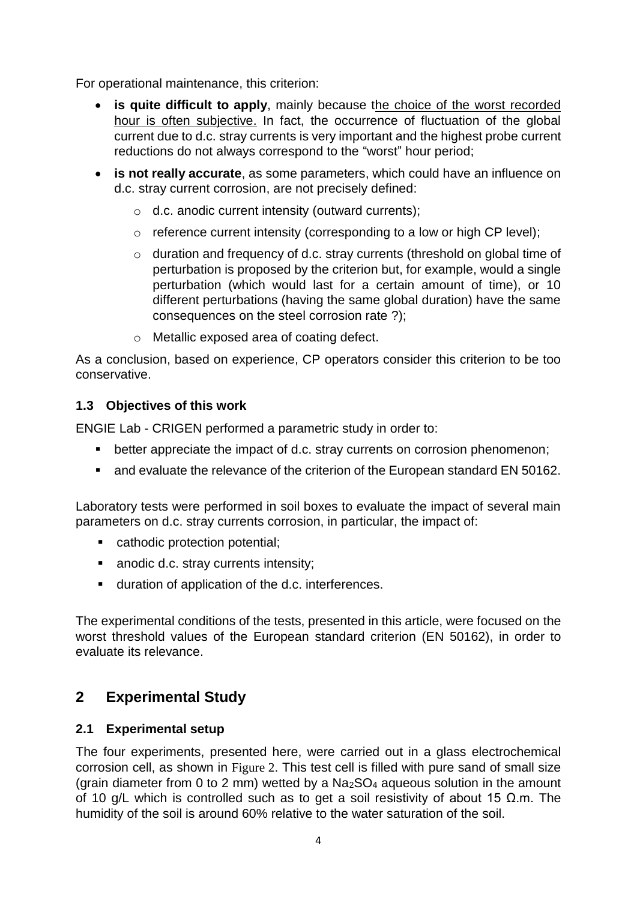For operational maintenance, this criterion:

- **•** is quite difficult to apply, mainly because the choice of the worst recorded hour is often subjective. In fact, the occurrence of fluctuation of the global current due to d.c. stray currents is very important and the highest probe current reductions do not always correspond to the "worst" hour period;
- **is not really accurate**, as some parameters, which could have an influence on d.c. stray current corrosion, are not precisely defined:
	- o d.c. anodic current intensity (outward currents);
	- o reference current intensity (corresponding to a low or high CP level);
	- o duration and frequency of d.c. stray currents (threshold on global time of perturbation is proposed by the criterion but, for example, would a single perturbation (which would last for a certain amount of time), or 10 different perturbations (having the same global duration) have the same consequences on the steel corrosion rate ?);
	- o Metallic exposed area of coating defect.

As a conclusion, based on experience, CP operators consider this criterion to be too conservative.

#### **1.3 Objectives of this work**

ENGIE Lab - CRIGEN performed a parametric study in order to:

- **•** better appreciate the impact of d.c. stray currents on corrosion phenomenon;
- **E** and evaluate the relevance of the criterion of the European standard EN 50162.

Laboratory tests were performed in soil boxes to evaluate the impact of several main parameters on d.c. stray currents corrosion, in particular, the impact of:

- cathodic protection potential;
- anodic d.c. stray currents intensity;
- duration of application of the d.c. interferences.

The experimental conditions of the tests, presented in this article, were focused on the worst threshold values of the European standard criterion (EN 50162), in order to evaluate its relevance.

# **2 Experimental Study**

### **2.1 Experimental setup**

The four experiments, presented here, were carried out in a glass electrochemical corrosion cell, as shown in [Figure 2](#page-4-0). This test cell is filled with pure sand of small size (grain diameter from 0 to 2 mm) wetted by a Na2SO<sup>4</sup> aqueous solution in the amount of 10 g/L which is controlled such as to get a soil resistivity of about 15  $\Omega$ .m. The humidity of the soil is around 60% relative to the water saturation of the soil.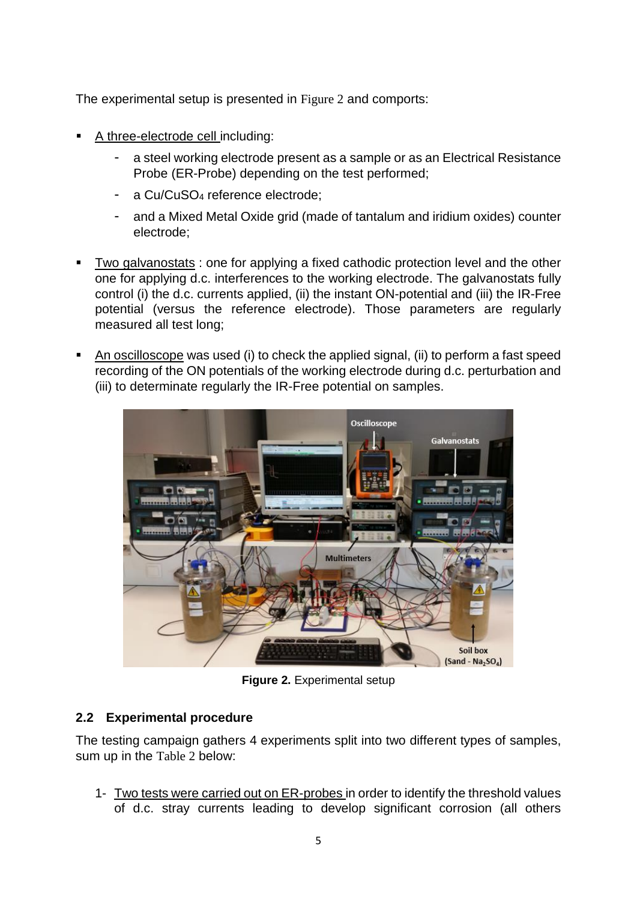The experimental setup is presented in [Figure 2](#page-4-0) and comports:

- A three-electrode cell including:
	- a steel working electrode present as a sample or as an Electrical Resistance Probe (ER-Probe) depending on the test performed;
	- a Cu/CuSO<sub>4</sub> reference electrode:
	- and a Mixed Metal Oxide grid (made of tantalum and iridium oxides) counter electrode;
- Two galvanostats : one for applying a fixed cathodic protection level and the other one for applying d.c. interferences to the working electrode. The galvanostats fully control (i) the d.c. currents applied, (ii) the instant ON-potential and (iii) the IR-Free potential (versus the reference electrode). Those parameters are regularly measured all test long;
- An oscilloscope was used (i) to check the applied signal, (ii) to perform a fast speed recording of the ON potentials of the working electrode during d.c. perturbation and (iii) to determinate regularly the IR-Free potential on samples.



**Figure 2.** Experimental setup

## <span id="page-4-0"></span>**2.2 Experimental procedure**

The testing campaign gathers 4 experiments split into two different types of samples, sum up in the [Table 2](#page-5-0) below:

1- Two tests were carried out on ER-probes in order to identify the threshold values of d.c. stray currents leading to develop significant corrosion (all others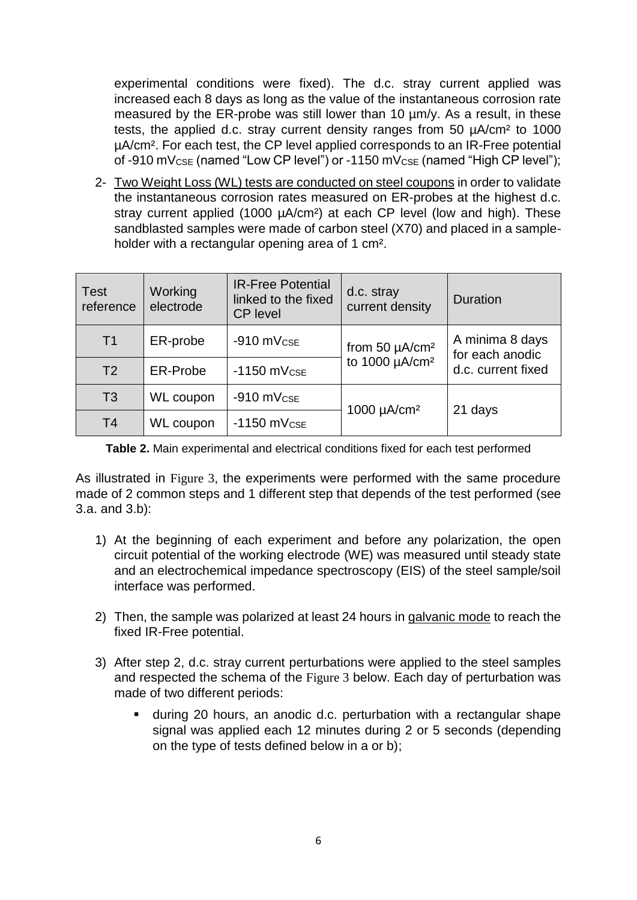experimental conditions were fixed). The d.c. stray current applied was increased each 8 days as long as the value of the instantaneous corrosion rate measured by the ER-probe was still lower than 10  $\mu$ m/y. As a result, in these tests, the applied d.c. stray current density ranges from 50 µA/cm² to 1000 µA/cm². For each test, the CP level applied corresponds to an IR-Free potential of -910 mV $_{CSE}$  (named "Low CP level") or -1150 mV $_{CSE}$  (named "High CP level");

2- Two Weight Loss (WL) tests are conducted on steel coupons in order to validate the instantaneous corrosion rates measured on ER-probes at the highest d.c. stray current applied (1000 µA/cm<sup>2</sup>) at each CP level (low and high). These sandblasted samples were made of carbon steel (X70) and placed in a sampleholder with a rectangular opening area of 1 cm<sup>2</sup>.

| <b>Test</b><br>reference | Working<br>electrode | <b>IR-Free Potential</b><br>linked to the fixed<br><b>CP</b> level | d.c. stray<br>current density   | <b>Duration</b>                                          |
|--------------------------|----------------------|--------------------------------------------------------------------|---------------------------------|----------------------------------------------------------|
| T <sub>1</sub>           | ER-probe             | $-910$ mV $_{CSE}$                                                 | from 50 $\mu$ A/cm <sup>2</sup> | A minima 8 days<br>for each anodic<br>d.c. current fixed |
| T <sub>2</sub>           | <b>ER-Probe</b>      | $-1150$ mV $c$ se                                                  | to 1000 µA/cm <sup>2</sup>      |                                                          |
| T3                       | <b>WL</b> coupon     | $-910$ mV $c$ se                                                   | 1000 $\mu$ A/cm <sup>2</sup>    | 21 days                                                  |
| T <sub>4</sub>           | WL coupon            | $-1150$ mV $_{CSE}$                                                |                                 |                                                          |

<span id="page-5-0"></span>**Table 2.** Main experimental and electrical conditions fixed for each test performed

As illustrated in [Figure 3](#page-6-0), the experiments were performed with the same procedure made of 2 common steps and 1 different step that depends of the test performed (see 3.a. and 3.b):

- 1) At the beginning of each experiment and before any polarization, the open circuit potential of the working electrode (WE) was measured until steady state and an electrochemical impedance spectroscopy (EIS) of the steel sample/soil interface was performed.
- 2) Then, the sample was polarized at least 24 hours in galvanic mode to reach the fixed IR-Free potential.
- 3) After step 2, d.c. stray current perturbations were applied to the steel samples and respected the schema of the [Figure 3](#page-6-0) below. Each day of perturbation was made of two different periods:
	- during 20 hours, an anodic d.c. perturbation with a rectangular shape signal was applied each 12 minutes during 2 or 5 seconds (depending on the type of tests defined below in a or b);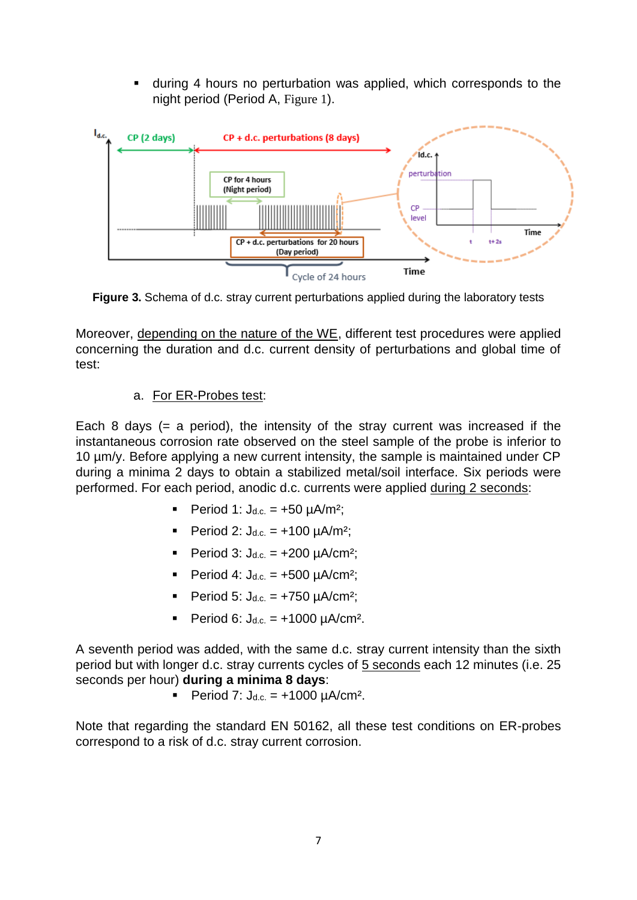during 4 hours no perturbation was applied, which corresponds to the night period (Period A, [Figure 1](#page-2-0)).



<span id="page-6-0"></span>**Figure 3.** Schema of d.c. stray current perturbations applied during the laboratory tests

Moreover, depending on the nature of the WE, different test procedures were applied concerning the duration and d.c. current density of perturbations and global time of test:

## a. For ER-Probes test:

Each 8 days ( $=$  a period), the intensity of the stray current was increased if the instantaneous corrosion rate observed on the steel sample of the probe is inferior to 10 µm/y. Before applying a new current intensity, the sample is maintained under CP during a minima 2 days to obtain a stabilized metal/soil interface. Six periods were performed. For each period, anodic d.c. currents were applied during 2 seconds:

- Period 1:  $J_{d.c.} = +50 \text{ uA/m}^2$ :
- Period 2:  $J_{d.c.} = +100 \mu A/m^2$ ;
- Period 3:  $J_{d.c.} = +200 \mu A/cm^2$ ;
- Period 4:  $J_{d.c.} = +500 \mu A/cm^2$ ;
- Period 5:  $J_{d.c.} = +750 \mu A/cm^2$ ;
- Period 6:  $J_{d.c.} = +1000 \mu A/cm^2$ .

A seventh period was added, with the same d.c. stray current intensity than the sixth period but with longer d.c. stray currents cycles of 5 seconds each 12 minutes (i.e. 25 seconds per hour) **during a minima 8 days**:

Period 7:  $J_{d.c.} = +1000 \mu A/cm^2$ .

Note that regarding the standard EN 50162, all these test conditions on ER-probes correspond to a risk of d.c. stray current corrosion.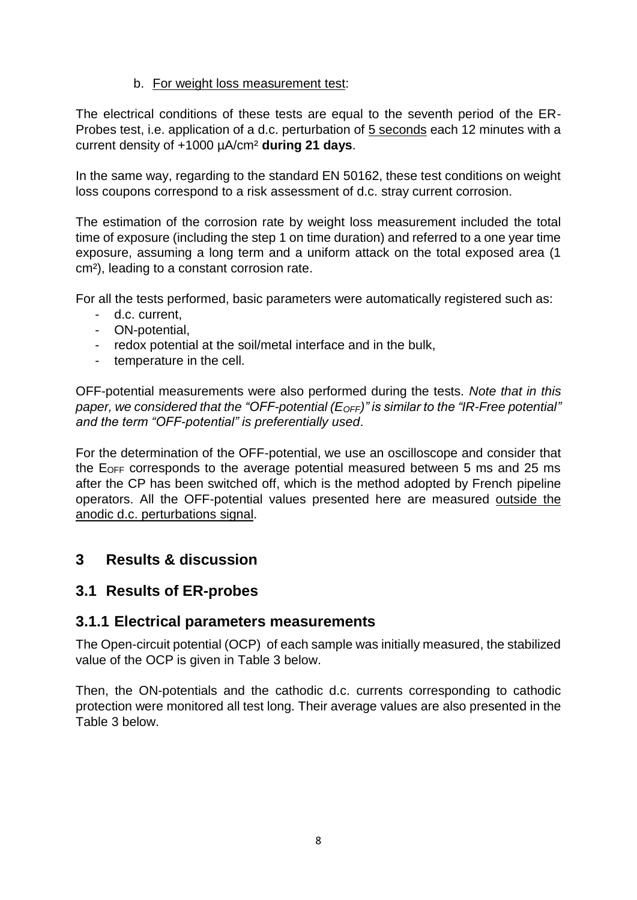#### b. For weight loss measurement test:

The electrical conditions of these tests are equal to the seventh period of the ER-Probes test, i.e. application of a d.c. perturbation of 5 seconds each 12 minutes with a current density of +1000 µA/cm² **during 21 days**.

In the same way, regarding to the standard EN 50162, these test conditions on weight loss coupons correspond to a risk assessment of d.c. stray current corrosion.

The estimation of the corrosion rate by weight loss measurement included the total time of exposure (including the step 1 on time duration) and referred to a one year time exposure, assuming a long term and a uniform attack on the total exposed area (1 cm²), leading to a constant corrosion rate.

For all the tests performed, basic parameters were automatically registered such as:

- d.c. current,
- ON-potential,
- redox potential at the soil/metal interface and in the bulk,
- temperature in the cell.

OFF-potential measurements were also performed during the tests. *Note that in this paper, we considered that the "OFF-potential (EOFF)" is similar to the "IR-Free potential" and the term "OFF-potential" is preferentially used*.

For the determination of the OFF-potential, we use an oscilloscope and consider that the EOFF corresponds to the average potential measured between 5 ms and 25 ms after the CP has been switched off, which is the method adopted by French pipeline operators. All the OFF-potential values presented here are measured outside the anodic d.c. perturbations signal.

## **3 Results & discussion**

## **3.1 Results of ER-probes**

### **3.1.1 Electrical parameters measurements**

The Open-circuit potential (OCP) of each sample was initially measured, the stabilized value of the OCP is given in [Table 3](#page-8-0) below.

Then, the ON-potentials and the cathodic d.c. currents corresponding to cathodic protection were monitored all test long. Their average values are also presented in the [Table 3](#page-8-0) below.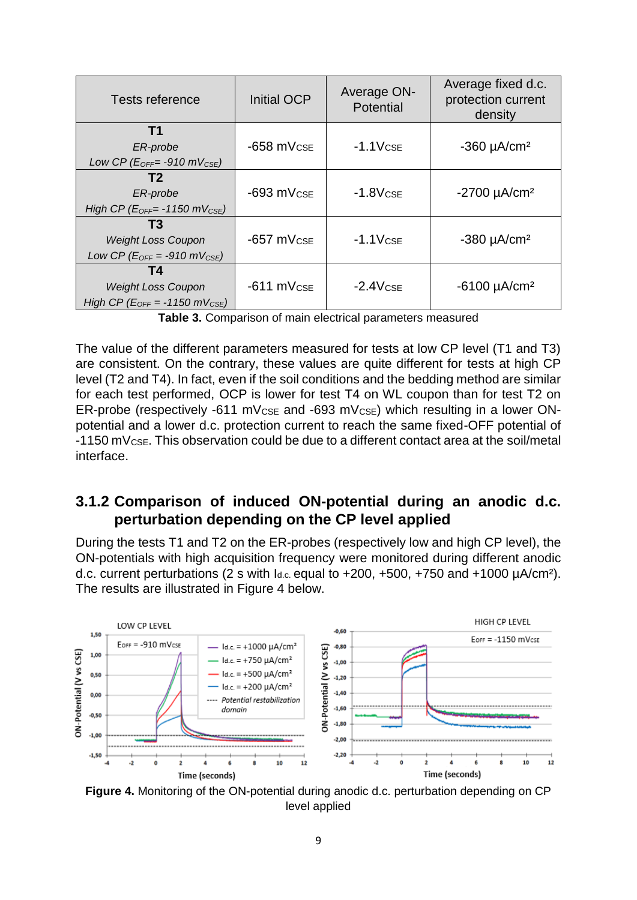| Tests reference                                                                    | <b>Initial OCP</b> | Average ON-<br>Potential | Average fixed d.c.<br>protection current<br>density |
|------------------------------------------------------------------------------------|--------------------|--------------------------|-----------------------------------------------------|
| T1<br>ER-probe<br>Low CP ( $E_{OFF}$ = -910 mV $_{CSE}$ )                          | $-658$ mV $c$ se   | $-1.1VCSE$               | $-360 \mu A/cm^2$                                   |
| T2<br>ER-probe<br>High CP ( $E_{OFF}$ -1150 mV $_{CSE}$ )                          | $-693$ mV $_{CSE}$ | $-1.8VCSE$               | $-2700 \mu A/cm^2$                                  |
| T3<br><b>Weight Loss Coupon</b><br>Low CP ( $E_{OFF} = -910$ mV <sub>CSE</sub> )   | $-657$ mV $\csc$   | $-1.1$ V $c$ se          | $-380 \mu A/cm^2$                                   |
| T4<br><b>Weight Loss Coupon</b><br>High CP ( $E_{OFF} = -1150$ mV <sub>CSE</sub> ) | $-611$ mV $_{CSE}$ | $-2.4VCSE$               | $-6100 \mu A/cm^2$                                  |

**Table 3.** Comparison of main electrical parameters measured

<span id="page-8-0"></span>The value of the different parameters measured for tests at low CP level (T1 and T3) are consistent. On the contrary, these values are quite different for tests at high CP level (T2 and T4). In fact, even if the soil conditions and the bedding method are similar for each test performed, OCP is lower for test T4 on WL coupon than for test T2 on ER-probe (respectively -611 mV $\csc$  and -693 mV $\csc$ ) which resulting in a lower ONpotential and a lower d.c. protection current to reach the same fixed-OFF potential of -1150 mVCSE. This observation could be due to a different contact area at the soil/metal interface.

# **3.1.2 Comparison of induced ON-potential during an anodic d.c. perturbation depending on the CP level applied**

During the tests T1 and T2 on the ER-probes (respectively low and high CP level), the ON-potentials with high acquisition frequency were monitored during different anodic d.c. current perturbations (2 s with  $I_{d.c.}$  equal to  $+200$ ,  $+500$ ,  $+750$  and  $+1000$   $\mu$ A/cm<sup>2</sup>). The results are illustrated in [Figure 4](#page-8-1) below.



<span id="page-8-1"></span>**Figure 4.** Monitoring of the ON-potential during anodic d.c. perturbation depending on CP level applied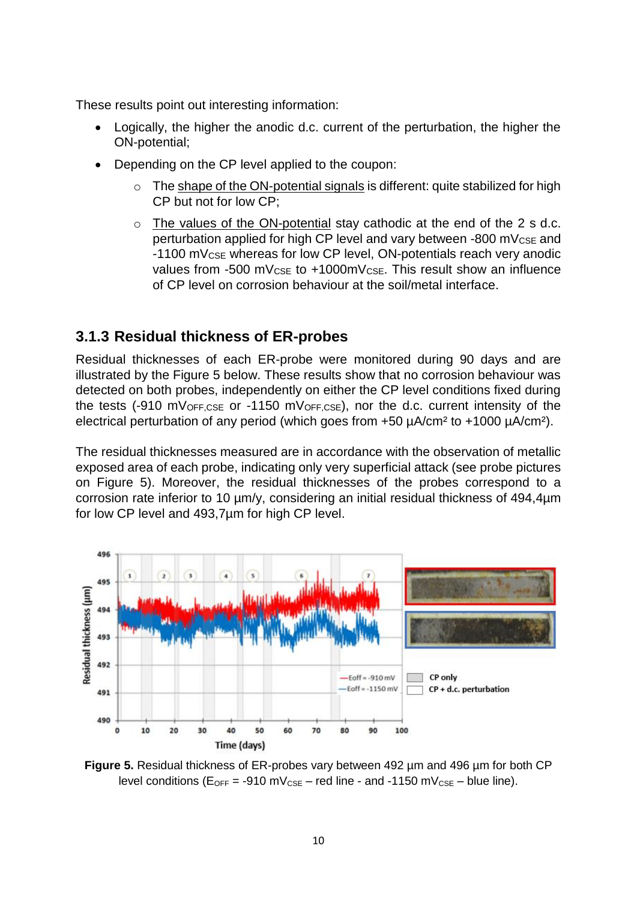These results point out interesting information:

- Logically, the higher the anodic d.c. current of the perturbation, the higher the ON-potential;
- Depending on the CP level applied to the coupon:
	- The shape of the ON-potential signals is different: quite stabilized for high CP but not for low CP;
	- o The values of the ON-potential stay cathodic at the end of the 2 s d.c. perturbation applied for high CP level and vary between -800 mV<sub>CSE</sub> and -1100 mVCSE whereas for low CP level, ON-potentials reach very anodic values from -500 mV<sub>CSE</sub> to +1000mV<sub>CSE</sub>. This result show an influence of CP level on corrosion behaviour at the soil/metal interface.

# **3.1.3 Residual thickness of ER-probes**

Residual thicknesses of each ER-probe were monitored during 90 days and are illustrated by the [Figure 5](#page-9-0) below. These results show that no corrosion behaviour was detected on both probes, independently on either the CP level conditions fixed during the tests (-910 mVOFF,CSE or -1150 mVOFF,CSE), nor the d.c. current intensity of the electrical perturbation of any period (which goes from +50  $\mu$ A/cm<sup>2</sup> to +1000  $\mu$ A/cm<sup>2</sup>).

The residual thicknesses measured are in accordance with the observation of metallic exposed area of each probe, indicating only very superficial attack (see probe pictures on [Figure 5\)](#page-9-0). Moreover, the residual thicknesses of the probes correspond to a corrosion rate inferior to 10 µm/y, considering an initial residual thickness of 494,4µm for low CP level and 493,7µm for high CP level.



<span id="page-9-0"></span>**Figure 5.** Residual thickness of ER-probes vary between 492 µm and 496 µm for both CP level conditions ( $E_{OFF}$  = -910 mV<sub>CSE</sub> – red line - and -1150 mV<sub>CSE</sub> – blue line).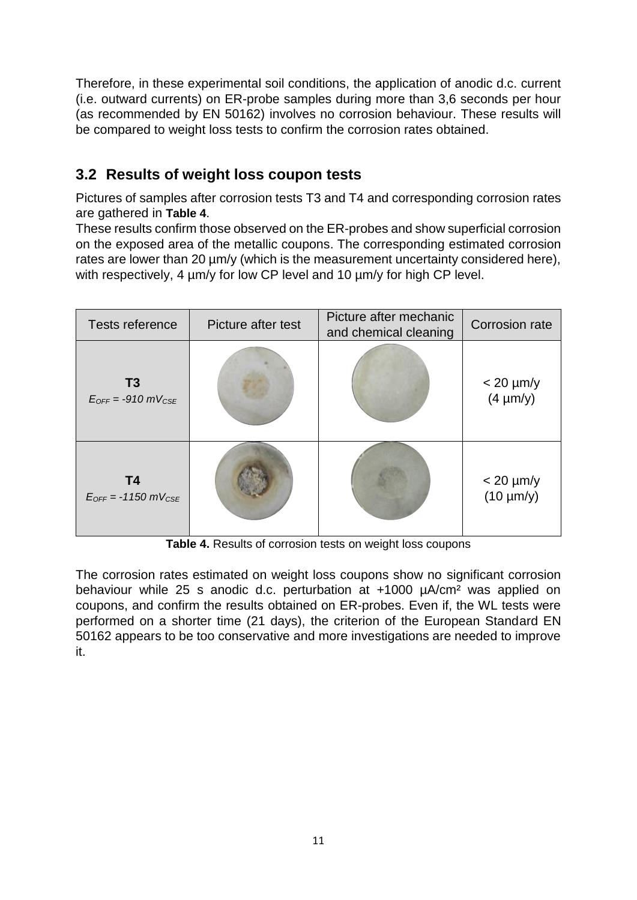Therefore, in these experimental soil conditions, the application of anodic d.c. current (i.e. outward currents) on ER-probe samples during more than 3,6 seconds per hour (as recommended by EN 50162) involves no corrosion behaviour. These results will be compared to weight loss tests to confirm the corrosion rates obtained.

# **3.2 Results of weight loss coupon tests**

Pictures of samples after corrosion tests T3 and T4 and corresponding corrosion rates are gathered in **[Table 4](#page-10-0)**.

These results confirm those observed on the ER-probes and show superficial corrosion on the exposed area of the metallic coupons. The corresponding estimated corrosion rates are lower than 20  $\mu$ m/y (which is the measurement uncertainty considered here), with respectively, 4  $\mu$ m/y for low CP level and 10  $\mu$ m/y for high CP level.

| Tests reference                                  | Picture after test | Picture after mechanic<br>and chemical cleaning | Corrosion rate                     |
|--------------------------------------------------|--------------------|-------------------------------------------------|------------------------------------|
| T3<br>$E_{OFF} = -910$ mV <sub>CSE</sub>         |                    |                                                 | $<$ 20 $\mu$ m/y<br>$(4 \mu m/y)$  |
| <b>T4</b><br>$E_{OFF}$ = -1150 mV <sub>CSE</sub> |                    |                                                 | $<$ 20 $\mu$ m/y<br>$(10 \mu m/y)$ |

**Table 4.** Results of corrosion tests on weight loss coupons

<span id="page-10-0"></span>The corrosion rates estimated on weight loss coupons show no significant corrosion behaviour while 25 s anodic d.c. perturbation at +1000 µA/cm² was applied on coupons, and confirm the results obtained on ER-probes. Even if, the WL tests were performed on a shorter time (21 days), the criterion of the European Standard EN 50162 appears to be too conservative and more investigations are needed to improve it.